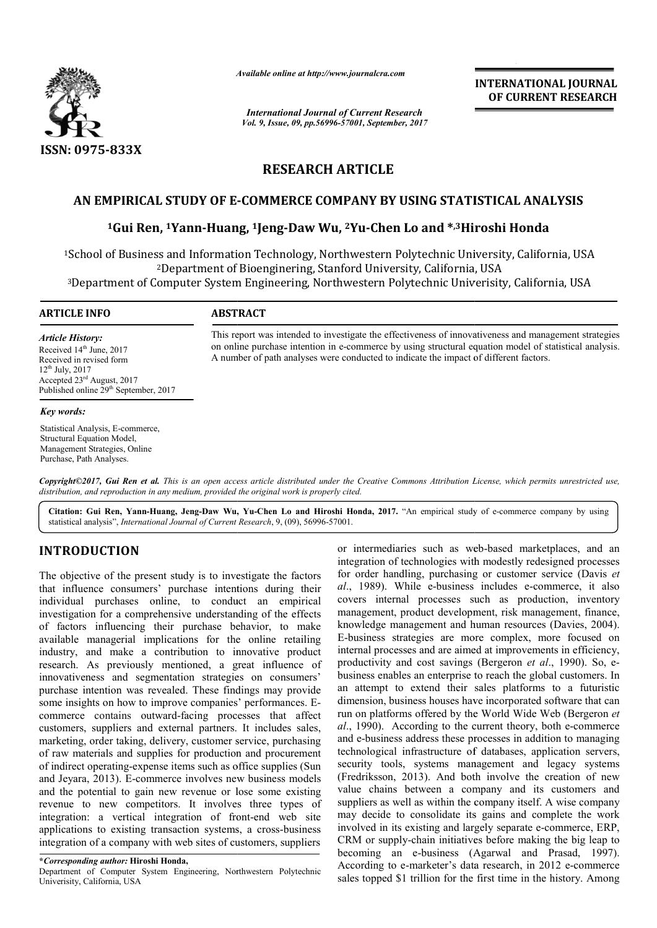

*Available online at http://www.journal http://www.journalcra.com*

*International Journal of Current Research Vol. 9, Issue, 09, pp.56996-57001, September, 2017* **INTERNATIONAL JOURNAL OF CURRENT RESEARCH** 

# **RESEARCH ARTICLE**

# **AN EMPIRICAL STUDY OF E--COMMERCE COMPANY BY USING STATISTICAL ANALYSIS**

# **1Gui Ren, 1Yann-Huang, Huang, 1Jeng-Daw Wu, 2Yu-Chen Lo and \*,3Hiroshi Honda COMMERCE Hiroshi Honda**

<sup>1</sup>School of Business and Information Technology, Northwestern Polytechnic University, California, USA 2Department of Bioenginering, Stanford University, California, USA <sup>2</sup>Department of Bioenginering, Stanford University, California, USA<sup>3</sup><br>Department of Computer System Engineering, Northwestern Polytechnic Univerisity, California, USA

#### **ARTICLE INFO ABSTRACT**

*Article History:* Received 14<sup>th</sup> June, 2017 Received in revised form 12th July, 2017 Accepted 23rd August, 2017 Published online 29<sup>th</sup> September, 2017

#### *Key words:*

Statistical Analysis, E-commerce, Structural Equation Model, Management Strategies, Online Purchase, Path Analyses.

on online purchase intention in e-commerce by using structural equation model of statistical analysis.<br>A number of path analyses were conducted to indicate the impact of different factors. A number of path analyses were conducted to indicate the impact of different factors.

This report was intended to investigate the effectiveness of innovativeness and management strategies

*Copyright©2017, Gui Ren et al. This is an open access article distributed under the Creative Commons Att Attribution License, which ribution permits unrestricted use, distribution, and reproduction in any medium, provided the original work is properly cited.*

**Citation: Gui Ren, Yann-Huang, Jeng-Daw Wu, Yu Yu-Chen Lo and Hiroshi Honda, 2017.** "An empirical study of e An study e-commerce company by using statistical analysis", *International Journal of Current Research* , 9, (09), 56996-57001.

# **INTRODUCTION**

The objective of the present study is to investigate the factors The objective of the present study is to investigate the factors that influence consumers' purchase intentions during their individual purchases online, to conduct an empirical investigation for a comprehensive understanding of the effects of factors influencing their purchase behavior, to make available managerial implications for the online retailing industry, and make a contribution to innovative product research. As previously mentioned, a great influence of innovativeness and segmentation strategies on consumers' purchase intention was revealed. These findings may provide some insights on how to improve companies' performances. Ecommerce contains outward-facing processes that affect customers, suppliers and external partners. It includes sales, marketing, order taking, delivery, customer service, purchasing of raw materials and supplies for production and procurement of indirect operating-expense items such as office supplies and Jeyara, 2013). E-commerce involves new business models and the potential to gain new revenue or lose some existing revenue to new competitors. It involves three types of integration: a vertical integration of front-end web site applications to existing transaction systems, a cross-business integration of a company with web sites of customers, suppliers outward-facing processes that affect<br>and external partners. It includes sales,<br>ng, delivery, customer service, purchasing<br>supplies for production and procurement<br>expense items such as office supplies (Sun E-commerce involves new business models<br>to gain new revenue or lose some existing<br>competitors. It involves three types of<br>trical integration of front-end web site

### **\****Corresponding author:* **Hiroshi Honda,**

Department of Computer System Engineering, Northwestern Polytechnic Univerisity, California, USA

or intermediaries such as web-based marketplaces, and an integration of technologies with modestly redesigned processes integration of technologies with modestly redesigned processes for order handling, purchasing or customer service (Davis *et* al., 1989). While e-business includes e-commerce, it also covers internal processes such as production, inventory management, product development, risk management, finance, covers internal processes such as production, inventory<br>management, product development, risk management, finance,<br>knowledge management and human resources (Davies, 2004). E-business strategies are more complex, more focused on internal processes and are aimed at improvements in efficiency, productivity and cost savings (Bergeron et al., 1990). So, ebusiness enables an enterprise to reach the global customers. In an attempt to extend their sales platforms to a futuristic dimension, business houses have incorporated software that can run on platforms offered by the World Wide Web (Bergeron et al., 1990). According to the current theory, both e-commerce and e-business address these processes in addition to managing technological infrastructure of databases, application servers, security tools, systems management and legacy systems (Fredriksson, 2013). And both involve the creation of new and e-business address these processes in addition to managing<br>technological infrastructure of databases, application servers,<br>security tools, systems management and legacy systems<br>(Fredriksson, 2013). And both involve the suppliers as well as within the company itself. A wise company may decide to consolidate its gains and complete the work involved in its existing and largely separate e-commerce, ERP, CRM or supply-chain initiatives before making the big leap to becoming an e-business (Agarwal and Prasad, 1997). According to e-marketer's data research, in 2012 e-commerce sales topped \$1 trillion for the first time in the history. Among business strategies are more complex, more focused on<br>ternal processes and are aimed at improvements in efficiency,<br>oductivity and cost savings (Bergeron *et al.*, 1990). So, eenables an enterprise to reach the global customers. In ppt to extend their sales platforms to a futuristic n, business houses have incorporated software that can atforms offered by the World Wide Web (Bergeron *et* suppliers as well as within the company itself. A wise company may decide to consolidate its gains and complete the work involved in its existing and largely separate e-commerce, ERP,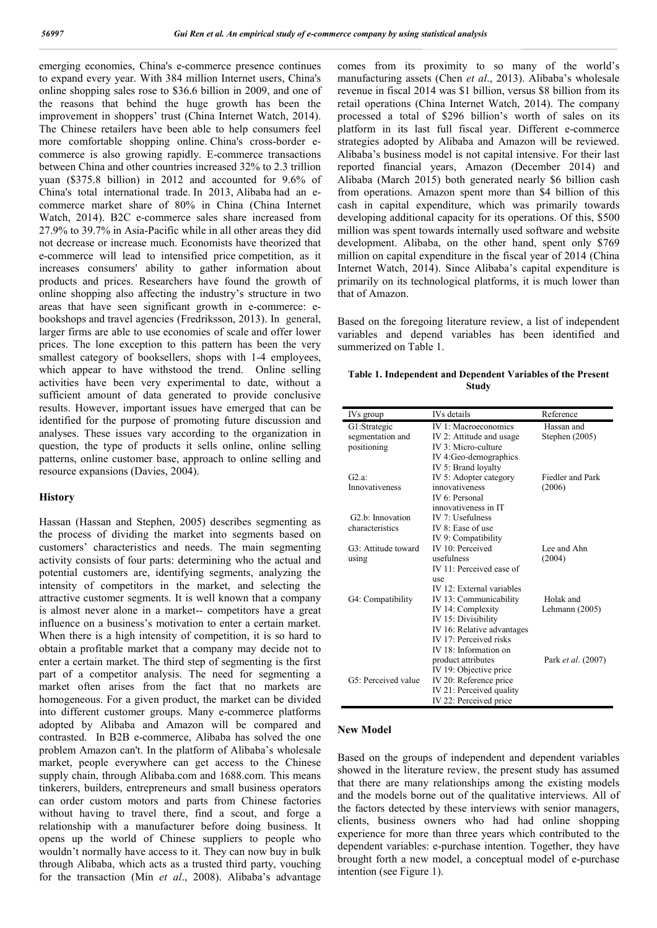emerging economies, China's e-commerce presence continues to expand every year. With 384 million Internet users, China's online shopping sales rose to \$36.6 billion in 2009, and one of the reasons that behind the huge growth has been the improvement in shoppers' trust (China Internet Watch, 2014). The Chinese retailers have been able to help consumers feel more comfortable shopping online. China's cross-border ecommerce is also growing rapidly. E-commerce transactions between China and other countries increased 32% to 2.3 trillion yuan (\$375.8 billion) in 2012 and accounted for 9.6% of China's total international trade. In 2013, Alibaba had an ecommerce market share of 80% in China (China Internet Watch, 2014). B2C e-commerce sales share increased from 27.9% to 39.7% in Asia-Pacific while in all other areas they did not decrease or increase much. Economists have theorized that e-commerce will lead to intensified price competition, as it increases consumers' ability to gather information about products and prices. Researchers have found the growth of online shopping also affecting the industry's structure in two areas that have seen significant growth in e-commerce: ebookshops and travel agencies (Fredriksson, 2013). In general, larger firms are able to use economies of scale and offer lower prices. The lone exception to this pattern has been the very smallest category of booksellers, shops with 1-4 employees, which appear to have withstood the trend. Online selling activities have been very experimental to date, without a sufficient amount of data generated to provide conclusive results. However, important issues have emerged that can be identified for the purpose of promoting future discussion and analyses. These issues vary according to the organization in question, the type of products it sells online, online selling patterns, online customer base, approach to online selling and resource expansions (Davies, 2004).

#### **History**

Hassan (Hassan and Stephen, 2005) describes segmenting as the process of dividing the market into segments based on customers' characteristics and needs. The main segmenting activity consists of four parts: determining who the actual and potential customers are, identifying segments, analyzing the intensity of competitors in the market, and selecting the attractive customer segments. It is well known that a company is almost never alone in a market-- competitors have a great influence on a business's motivation to enter a certain market. When there is a high intensity of competition, it is so hard to obtain a profitable market that a company may decide not to enter a certain market. The third step of segmenting is the first part of a competitor analysis. The need for segmenting a market often arises from the fact that no markets are homogeneous. For a given product, the market can be divided into different customer groups. Many e-commerce platforms adopted by Alibaba and Amazon will be compared and contrasted. In B2B e-commerce, Alibaba has solved the one problem Amazon can't. In the platform of Alibaba's wholesale market, people everywhere can get access to the Chinese supply chain, through Alibaba.com and 1688.com. This means tinkerers, builders, entrepreneurs and small business operators can order custom motors and parts from Chinese factories without having to travel there, find a scout, and forge a relationship with a manufacturer before doing business. It opens up the world of Chinese suppliers to people who wouldn't normally have access to it. They can now buy in bulk through Alibaba, which acts as a trusted third party, vouching for the transaction (Min *et al*., 2008). Alibaba's advantage comes from its proximity to so many of the world's manufacturing assets (Chen *et al*., 2013). Alibaba's wholesale revenue in fiscal 2014 was \$1 billion, versus \$8 billion from its retail operations (China Internet Watch, 2014). The company processed a total of \$296 billion's worth of sales on its platform in its last full fiscal year. Different e-commerce strategies adopted by Alibaba and Amazon will be reviewed. Alibaba's business model is not capital intensive. For their last reported financial years, Amazon (December 2014) and Alibaba (March 2015) both generated nearly \$6 billion cash from operations. Amazon spent more than \$4 billion of this cash in capital expenditure, which was primarily towards developing additional capacity for its operations. Of this, \$500 million was spent towards internally used software and website development. Alibaba, on the other hand, spent only \$769 million on capital expenditure in the fiscal year of 2014 (China Internet Watch, 2014). Since Alibaba's capital expenditure is primarily on its technological platforms, it is much lower than that of Amazon.

Based on the foregoing literature review, a list of independent variables and depend variables has been identified and summerized on Table 1.

**Table 1. Independent and Dependent Variables of the Present Study**

| IVs group                     | IVs details                 | Reference          |
|-------------------------------|-----------------------------|--------------------|
| G1:Strategic                  | IV 1: Macroeconomics        | Hassan and         |
| segmentation and              | IV 2: Attitude and usage    | Stephen $(2005)$   |
| positioning                   | IV 3: Micro-culture         |                    |
|                               | IV 4:Geo-demographics       |                    |
|                               | IV 5: Brand loyalty         |                    |
| G2.a                          | IV 5: Adopter category      | Fiedler and Park   |
| Innovativeness                | innovativeness              | (2006)             |
|                               | IV 6: Personal              |                    |
|                               | innovativeness in IT        |                    |
| G <sub>2</sub> .b: Innovation | IV $7:$ Usefulness          |                    |
| characteristics               | IV 8: Ease of use           |                    |
|                               | IV 9: Compatibility         |                    |
| G3: Attitude toward           | IV 10: Perceived            | Lee and Ahn        |
| using                         | usefulness                  | (2004)             |
|                               | $IV 11$ : Perceived ease of |                    |
|                               | use                         |                    |
|                               | IV 12: External variables   |                    |
| G4: Compatibility             | IV 13: Communicability      | Holak and          |
|                               | IV 14: Complexity           | Lehmann (2005)     |
|                               | IV 15: Divisibility         |                    |
|                               | IV 16: Relative advantages  |                    |
|                               | IV 17: Perceived risks      |                    |
|                               | IV 18: Information on       |                    |
|                               | product attributes          | Park et al. (2007) |
|                               | IV 19: Objective price      |                    |
| G5: Perceived value           | IV 20: Reference price      |                    |
|                               | IV 21: Perceived quality    |                    |
|                               | IV 22: Perceived price      |                    |

#### **New Model**

Based on the groups of independent and dependent variables showed in the literature review, the present study has assumed that there are many relationships among the existing models and the models borne out of the qualitative interviews. All of the factors detected by these interviews with senior managers, clients, business owners who had had online shopping experience for more than three years which contributed to the dependent variables: e-purchase intention. Together, they have brought forth a new model, a conceptual model of e-purchase intention (see Figure 1).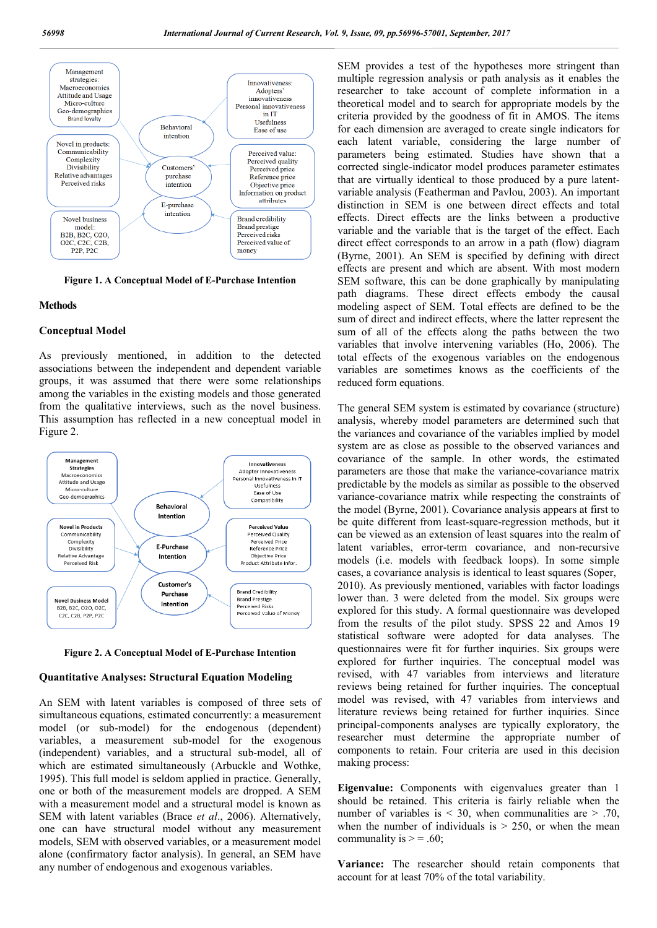

**Figure 1. A Conceptual Model of E-Purchase Intention**

#### **Methods**

#### **Conceptual Model**

As previously mentioned, in addition to the detected associations between the independent and dependent variable groups, it was assumed that there were some relationships among the variables in the existing models and those generated from the qualitative interviews, such as the novel business. This assumption has reflected in a new conceptual model in Figure 2.



**Figure 2. A Conceptual Model of E-Purchase Intention**

#### **Quantitative Analyses: Structural Equation Modeling**

An SEM with latent variables is composed of three sets of simultaneous equations, estimated concurrently: a measurement model (or sub-model) for the endogenous (dependent) variables, a measurement sub-model for the exogenous (independent) variables, and a structural sub-model, all of which are estimated simultaneously (Arbuckle and Wothke, 1995). This full model is seldom applied in practice. Generally, one or both of the measurement models are dropped. A SEM with a measurement model and a structural model is known as SEM with latent variables (Brace *et al*., 2006). Alternatively, one can have structural model without any measurement models, SEM with observed variables, or a measurement model alone (confirmatory factor analysis). In general, an SEM have any number of endogenous and exogenous variables.

SEM provides a test of the hypotheses more stringent than multiple regression analysis or path analysis as it enables the researcher to take account of complete information in a theoretical model and to search for appropriate models by the criteria provided by the goodness of fit in AMOS. The items for each dimension are averaged to create single indicators for each latent variable, considering the large number of parameters being estimated. Studies have shown that a corrected single-indicator model produces parameter estimates that are virtually identical to those produced by a pure latentvariable analysis (Featherman and Pavlou, 2003). An important distinction in SEM is one between direct effects and total effects. Direct effects are the links between a productive variable and the variable that is the target of the effect. Each direct effect corresponds to an arrow in a path (flow) diagram (Byrne, 2001). An SEM is specified by defining with direct effects are present and which are absent. With most modern SEM software, this can be done graphically by manipulating path diagrams. These direct effects embody the causal modeling aspect of SEM. Total effects are defined to be the sum of direct and indirect effects, where the latter represent the sum of all of the effects along the paths between the two variables that involve intervening variables (Ho, 2006). The total effects of the exogenous variables on the endogenous variables are sometimes knows as the coefficients of the reduced form equations.

The general SEM system is estimated by covariance (structure) analysis, whereby model parameters are determined such that the variances and covariance of the variables implied by model system are as close as possible to the observed variances and covariance of the sample. In other words, the estimated parameters are those that make the variance-covariance matrix predictable by the models as similar as possible to the observed variance-covariance matrix while respecting the constraints of the model (Byrne, 2001). Covariance analysis appears at first to be quite different from least-square-regression methods, but it can be viewed as an extension of least squares into the realm of latent variables, error-term covariance, and non-recursive models (i.e. models with feedback loops). In some simple cases, a covariance analysis is identical to least squares (Soper, 2010). As previously mentioned, variables with factor loadings lower than. 3 were deleted from the model. Six groups were explored for this study. A formal questionnaire was developed from the results of the pilot study. SPSS 22 and Amos 19 statistical software were adopted for data analyses. The questionnaires were fit for further inquiries. Six groups were explored for further inquiries. The conceptual model was revised, with 47 variables from interviews and literature reviews being retained for further inquiries. The conceptual model was revised, with 47 variables from interviews and literature reviews being retained for further inquiries. Since principal-components analyses are typically exploratory, the researcher must determine the appropriate number of components to retain. Four criteria are used in this decision making process:

**Eigenvalue:** Components with eigenvalues greater than 1 should be retained. This criteria is fairly reliable when the number of variables is  $\leq$  30, when communalities are  $\geq$  .70, when the number of individuals is  $> 250$ , or when the mean communality is  $> = .60$ ;

**Variance:** The researcher should retain components that account for at least 70% of the total variability.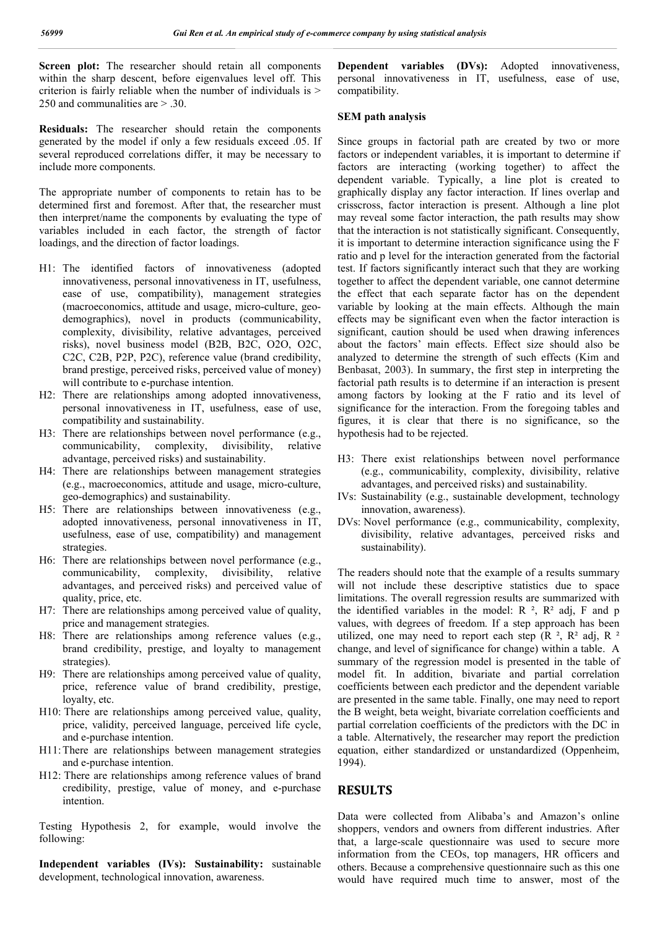**Screen plot:** The researcher should retain all components within the sharp descent, before eigenvalues level off. This criterion is fairly reliable when the number of individuals is  $>$ 250 and communalities are > .30.

**Residuals:** The researcher should retain the components generated by the model if only a few residuals exceed .05. If several reproduced correlations differ, it may be necessary to include more components.

The appropriate number of components to retain has to be determined first and foremost. After that, the researcher must then interpret/name the components by evaluating the type of variables included in each factor, the strength of factor loadings, and the direction of factor loadings.

- H1: The identified factors of innovativeness (adopted innovativeness, personal innovativeness in IT, usefulness, ease of use, compatibility), management strategies (macroeconomics, attitude and usage, micro-culture, geodemographics), novel in products (communicability, complexity, divisibility, relative advantages, perceived risks), novel business model (B2B, B2C, O2O, O2C, C2C, C2B, P2P, P2C), reference value (brand credibility, brand prestige, perceived risks, perceived value of money) will contribute to e-purchase intention.
- H2: There are relationships among adopted innovativeness, personal innovativeness in IT, usefulness, ease of use, compatibility and sustainability.
- H3: There are relationships between novel performance (e.g., communicability, complexity, divisibility, relative advantage, perceived risks) and sustainability.
- H4: There are relationships between management strategies (e.g., macroeconomics, attitude and usage, micro-culture, geo-demographics) and sustainability.
- H5: There are relationships between innovativeness (e.g., adopted innovativeness, personal innovativeness in IT, usefulness, ease of use, compatibility) and management strategies.
- H6: There are relationships between novel performance (e.g., communicability, complexity, divisibility, relative advantages, and perceived risks) and perceived value of quality, price, etc.
- H7: There are relationships among perceived value of quality, price and management strategies.
- H8: There are relationships among reference values (e.g., brand credibility, prestige, and loyalty to management strategies).
- H9: There are relationships among perceived value of quality, price, reference value of brand credibility, prestige, loyalty, etc.
- H10: There are relationships among perceived value, quality, price, validity, perceived language, perceived life cycle, and e-purchase intention.
- H11:There are relationships between management strategies and e-purchase intention.
- H12: There are relationships among reference values of brand credibility, prestige, value of money, and e-purchase intention.

Testing Hypothesis 2, for example, would involve the following:

**Independent variables (IVs): Sustainability:** sustainable development, technological innovation, awareness.

**Dependent variables (DVs):** Adopted innovativeness, personal innovativeness in IT, usefulness, ease of use, compatibility.

#### **SEM path analysis**

Since groups in factorial path are created by two or more factors or independent variables, it is important to determine if factors are interacting (working together) to affect the dependent variable. Typically, a line plot is created to graphically display any factor interaction. If lines overlap and crisscross, factor interaction is present. Although a line plot may reveal some factor interaction, the path results may show that the interaction is not statistically significant. Consequently, it is important to determine interaction significance using the F ratio and p level for the interaction generated from the factorial test. If factors significantly interact such that they are working together to affect the dependent variable, one cannot determine the effect that each separate factor has on the dependent variable by looking at the main effects. Although the main effects may be significant even when the factor interaction is significant, caution should be used when drawing inferences about the factors' main effects. Effect size should also be analyzed to determine the strength of such effects (Kim and Benbasat, 2003). In summary, the first step in interpreting the factorial path results is to determine if an interaction is present among factors by looking at the F ratio and its level of significance for the interaction. From the foregoing tables and figures, it is clear that there is no significance, so the hypothesis had to be rejected.

- H3: There exist relationships between novel performance (e.g., communicability, complexity, divisibility, relative advantages, and perceived risks) and sustainability.
- IVs: Sustainability (e.g., sustainable development, technology innovation, awareness).
- DVs: Novel performance (e.g., communicability, complexity, divisibility, relative advantages, perceived risks and sustainability).

The readers should note that the example of a results summary will not include these descriptive statistics due to space limitations. The overall regression results are summarized with the identified variables in the model:  $R^2$ ,  $R^2$  adj, F and p values, with degrees of freedom. If a step approach has been utilized, one may need to report each step  $(R^2, R^2, R^2)$ change, and level of significance for change) within a table. A summary of the regression model is presented in the table of model fit. In addition, bivariate and partial correlation coefficients between each predictor and the dependent variable are presented in the same table. Finally, one may need to report the B weight, beta weight, bivariate correlation coefficients and partial correlation coefficients of the predictors with the DC in a table. Alternatively, the researcher may report the prediction equation, either standardized or unstandardized (Oppenheim, 1994).

## **RESULTS**

Data were collected from Alibaba's and Amazon's online shoppers, vendors and owners from different industries. After that, a large-scale questionnaire was used to secure more information from the CEOs, top managers, HR officers and others. Because a comprehensive questionnaire such as this one would have required much time to answer, most of the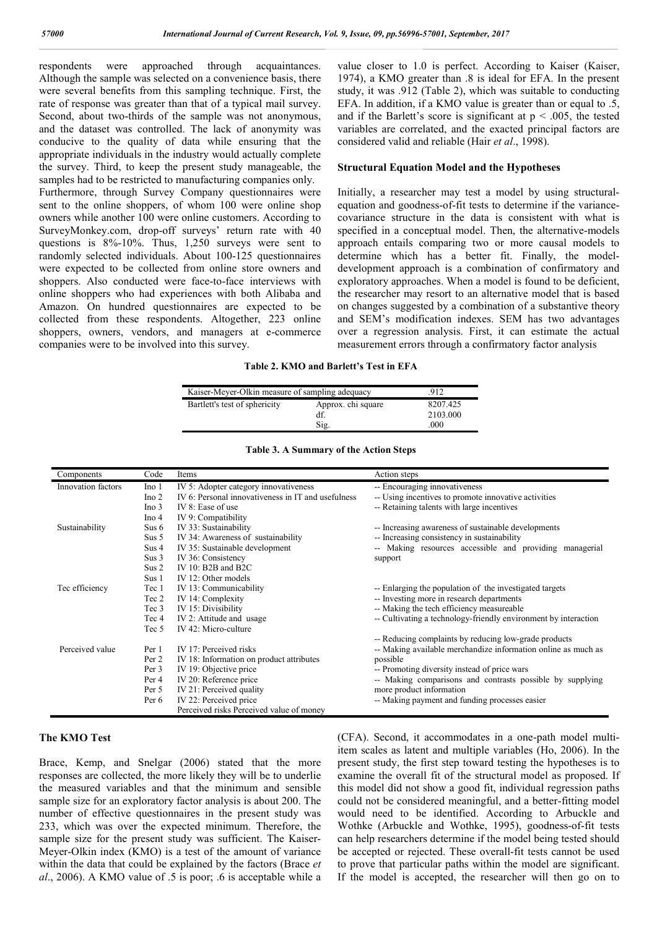respondents were approached through acquaintances. Although the sample was selected on a convenience basis, there were several benefits from this sampling technique. First, the rate of response was greater than that of a typical mail survey. Second, about two-thirds of the sample was not anonymous, and the dataset was controlled. The lack of anonymity was conducive to the quality of data while ensuring that the appropriate individuals in the industry would actually complete the survey. Third, to keep the present study manageable, the samples had to be restricted to manufacturing companies only. Furthermore, through Survey Company questionnaires were sent to the online shoppers, of whom 100 were online shop owners while another 100 were online customers. According to SurveyMonkey.com, drop-off surveys' return rate with 40 questions is 8%-10%. Thus, 1,250 surveys were sent to randomly selected individuals. About 100-125 questionnaires were expected to be collected from online store owners and shoppers. Also conducted were face-to-face interviews with online shoppers who had experiences with both Alibaba and Amazon. On hundred questionnaires are expected to be collected from these respondents. Altogether, 223 online shoppers, owners, vendors, and managers at e-commerce companies were to be involved into this survey.

value closer to 1.0 is perfect. According to Kaiser (Kaiser, 1974), a KMO greater than .8 is ideal for EFA. In the present study, it was .912 (Table 2), which was suitable to conducting EFA. In addition, if a KMO value is greater than or equal to .5, and if the Barlett's score is significant at  $p < .005$ , the tested variables are correlated, and the exacted principal factors are considered valid and reliable (Hair *et al*., 1998).

#### **Structural Equation Model and the Hypotheses**

Initially, a researcher may test a model by using structuralequation and goodness-of-fit tests to determine if the variancecovariance structure in the data is consistent with what is specified in a conceptual model. Then, the alternative-models approach entails comparing two or more causal models to determine which has a better fit. Finally, the modeldevelopment approach is a combination of confirmatory and exploratory approaches. When a model is found to be deficient, the researcher may resort to an alternative model that is based on changes suggested by a combination of a substantive theory and SEM's modification indexes. SEM has two advantages over a regression analysis. First, it can estimate the actual measurement errors through a confirmatory factor analysis

#### **Table 2. KMO and Barlett's Test in EFA**

| Kaiser-Meyer-Olkin measure of sampling adequacy | 912                      |                      |
|-------------------------------------------------|--------------------------|----------------------|
| Bartlett's test of sphericity                   | Approx. chi square<br>df | 8207.425<br>2103.000 |
|                                                 | Sig.                     | .000                 |

| Components         | Code             | Items                                              | Action steps                                                    |
|--------------------|------------------|----------------------------------------------------|-----------------------------------------------------------------|
| Innovation factors | Ino 1            | IV 5: Adopter category innovativeness              | -- Encouraging innovativeness                                   |
|                    | Ino <sub>2</sub> | IV 6: Personal innovativeness in IT and usefulness | -- Using incentives to promote innovative activities            |
|                    | Ino <sub>3</sub> | IV 8: Ease of use                                  | -- Retaining talents with large incentives                      |
|                    | Ino 4            | IV 9: Compatibility                                |                                                                 |
| Sustainability     | Sus $6$          | IV 33: Sustainability                              | -- Increasing awareness of sustainable developments             |
|                    | Sus $5$          | IV 34: Awareness of sustainability                 | -- Increasing consistency in sustainability                     |
|                    | Sus 4            | IV 35: Sustainable development                     | Making resources accessible and providing managerial            |
|                    | Sus <sub>3</sub> | IV 36: Consistency                                 | support                                                         |
|                    | Sus 2            | IV 10: B2B and B2C                                 |                                                                 |
|                    | Sus 1            | IV 12: Other models                                |                                                                 |
| Tec efficiency     | Tec 1            | IV 13: Communicability                             | -- Enlarging the population of the investigated targets         |
|                    | Tec 2            | IV 14: Complexity                                  | -- Investing more in research departments                       |
|                    | Tec 3            | IV 15: Divisibility                                | -- Making the tech efficiency measureable                       |
|                    | Tec 4            | IV 2: Attitude and usage                           | -- Cultivating a technology-friendly environment by interaction |
|                    | Tec 5            | IV 42: Micro-culture                               |                                                                 |
|                    |                  |                                                    | -- Reducing complaints by reducing low-grade products           |
| Perceived value    | Per 1            | IV 17: Perceived risks                             | -- Making available merchandize information online as much as   |
|                    | Per 2            | IV 18: Information on product attributes           | possible                                                        |
|                    | Per 3            | IV 19: Objective price                             | -- Promoting diversity instead of price wars                    |
|                    | Per 4            | IV 20: Reference price                             | -- Making comparisons and contrasts possible by supplying       |
|                    | Per 5            | IV 21: Perceived quality                           | more product information                                        |
|                    | Per 6            | IV 22: Perceived price                             | -- Making payment and funding processes easier                  |
|                    |                  | Perceived risks Perceived value of money           |                                                                 |

#### **Table 3. A Summary of the Action Steps**

#### **The KMO Test**

Brace, Kemp, and Snelgar (2006) stated that the more responses are collected, the more likely they will be to underlie the measured variables and that the minimum and sensible sample size for an exploratory factor analysis is about 200. The number of effective questionnaires in the present study was 233, which was over the expected minimum. Therefore, the sample size for the present study was sufficient. The Kaiser-Meyer-Olkin index (KMO) is a test of the amount of variance within the data that could be explained by the factors (Brace *et al*., 2006). A KMO value of .5 is poor; .6 is acceptable while a (CFA). Second, it accommodates in a one-path model multiitem scales as latent and multiple variables (Ho, 2006). In the present study, the first step toward testing the hypotheses is to examine the overall fit of the structural model as proposed. If this model did not show a good fit, individual regression paths could not be considered meaningful, and a better-fitting model would need to be identified. According to Arbuckle and Wothke (Arbuckle and Wothke, 1995), goodness-of-fit tests can help researchers determine if the model being tested should be accepted or rejected. These overall-fit tests cannot be used to prove that particular paths within the model are significant. If the model is accepted, the researcher will then go on to